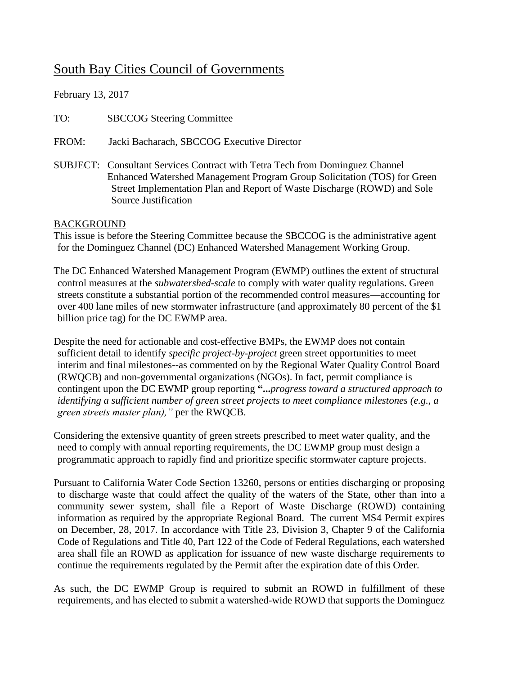# South Bay Cities Council of Governments

February 13, 2017

TO: SBCCOG Steering Committee

FROM: Jacki Bacharach, SBCCOG Executive Director

SUBJECT: Consultant Services Contract with Tetra Tech from Dominguez Channel Enhanced Watershed Management Program Group Solicitation (TOS) for Green Street Implementation Plan and Report of Waste Discharge (ROWD) and Sole Source Justification

#### BACKGROUND

This issue is before the Steering Committee because the SBCCOG is the administrative agent for the Dominguez Channel (DC) Enhanced Watershed Management Working Group.

The DC Enhanced Watershed Management Program (EWMP) outlines the extent of structural control measures at the *subwatershed-scale* to comply with water quality regulations. Green streets constitute a substantial portion of the recommended control measures—accounting for over 400 lane miles of new stormwater infrastructure (and approximately 80 percent of the \$1 billion price tag) for the DC EWMP area.

Despite the need for actionable and cost-effective BMPs, the EWMP does not contain sufficient detail to identify *specific project-by-project* green street opportunities to meet interim and final milestones--as commented on by the Regional Water Quality Control Board (RWQCB) and non-governmental organizations (NGOs). In fact, permit compliance is contingent upon the DC EWMP group reporting **"...***progress toward a structured approach to identifying a sufficient number of green street projects to meet compliance milestones (e.g., a green streets master plan),"* per the RWQCB.

Considering the extensive quantity of green streets prescribed to meet water quality, and the need to comply with annual reporting requirements, the DC EWMP group must design a programmatic approach to rapidly find and prioritize specific stormwater capture projects.

Pursuant to California Water Code Section 13260, persons or entities discharging or proposing to discharge waste that could affect the quality of the waters of the State, other than into a community sewer system, shall file a Report of Waste Discharge (ROWD) containing information as required by the appropriate Regional Board. The current MS4 Permit expires on December, 28, 2017. In accordance with Title 23, Division 3, Chapter 9 of the California Code of Regulations and Title 40, Part 122 of the Code of Federal Regulations, each watershed area shall file an ROWD as application for issuance of new waste discharge requirements to continue the requirements regulated by the Permit after the expiration date of this Order.

As such, the DC EWMP Group is required to submit an ROWD in fulfillment of these requirements, and has elected to submit a watershed-wide ROWD that supports the Dominguez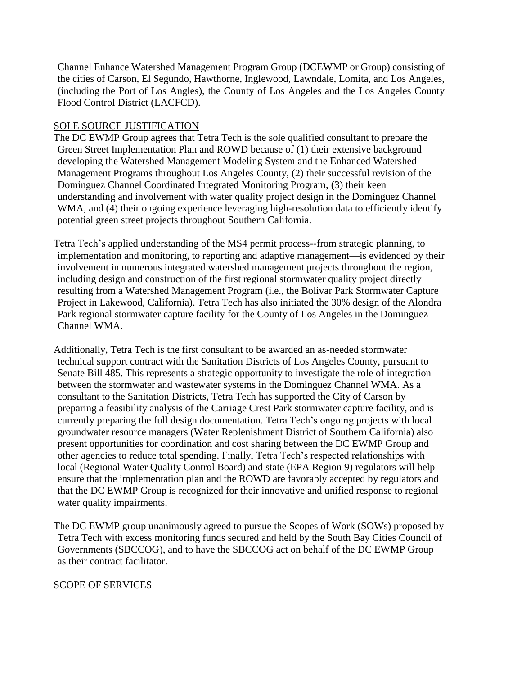Channel Enhance Watershed Management Program Group (DCEWMP or Group) consisting of the cities of Carson, El Segundo, Hawthorne, Inglewood, Lawndale, Lomita, and Los Angeles, (including the Port of Los Angles), the County of Los Angeles and the Los Angeles County Flood Control District (LACFCD).

### SOLE SOURCE JUSTIFICATION

The DC EWMP Group agrees that Tetra Tech is the sole qualified consultant to prepare the Green Street Implementation Plan and ROWD because of (1) their extensive background developing the Watershed Management Modeling System and the Enhanced Watershed Management Programs throughout Los Angeles County, (2) their successful revision of the Dominguez Channel Coordinated Integrated Monitoring Program, (3) their keen understanding and involvement with water quality project design in the Dominguez Channel WMA, and (4) their ongoing experience leveraging high-resolution data to efficiently identify potential green street projects throughout Southern California.

Tetra Tech's applied understanding of the MS4 permit process--from strategic planning, to implementation and monitoring, to reporting and adaptive management—is evidenced by their involvement in numerous integrated watershed management projects throughout the region, including design and construction of the first regional stormwater quality project directly resulting from a Watershed Management Program (i.e., the Bolivar Park Stormwater Capture Project in Lakewood, California). Tetra Tech has also initiated the 30% design of the Alondra Park regional stormwater capture facility for the County of Los Angeles in the Dominguez Channel WMA.

Additionally, Tetra Tech is the first consultant to be awarded an as-needed stormwater technical support contract with the Sanitation Districts of Los Angeles County, pursuant to Senate Bill 485. This represents a strategic opportunity to investigate the role of integration between the stormwater and wastewater systems in the Dominguez Channel WMA. As a consultant to the Sanitation Districts, Tetra Tech has supported the City of Carson by preparing a feasibility analysis of the Carriage Crest Park stormwater capture facility, and is currently preparing the full design documentation. Tetra Tech's ongoing projects with local groundwater resource managers (Water Replenishment District of Southern California) also present opportunities for coordination and cost sharing between the DC EWMP Group and other agencies to reduce total spending. Finally, Tetra Tech's respected relationships with local (Regional Water Quality Control Board) and state (EPA Region 9) regulators will help ensure that the implementation plan and the ROWD are favorably accepted by regulators and that the DC EWMP Group is recognized for their innovative and unified response to regional water quality impairments.

The DC EWMP group unanimously agreed to pursue the Scopes of Work (SOWs) proposed by Tetra Tech with excess monitoring funds secured and held by the South Bay Cities Council of Governments (SBCCOG), and to have the SBCCOG act on behalf of the DC EWMP Group as their contract facilitator.

#### SCOPE OF SERVICES